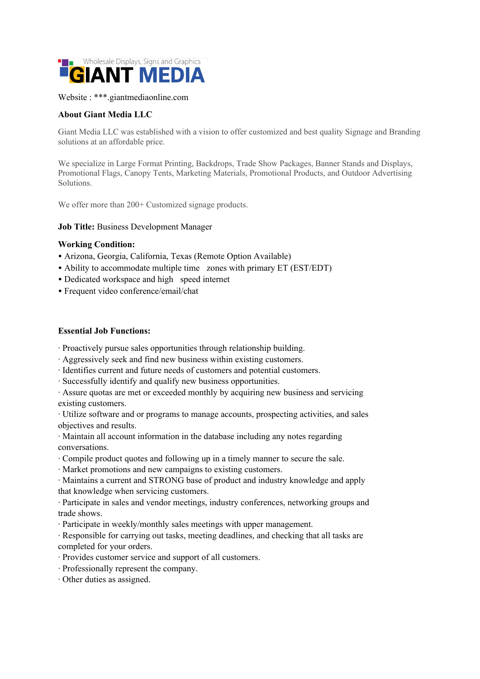

Website : \*\*\*.giantmediaonline.com

### **About Giant Media LLC**

Giant Media LLC was established with a vision to offer customized and best quality Signage and Branding solutions at an affordable price.

We specialize in Large Format Printing, Backdrops, Trade Show Packages, Banner Stands and Displays, Promotional Flags, Canopy Tents, Marketing Materials, Promotional Products, and Outdoor Advertising Solutions.

We offer more than  $200+$  Customized signage products.

### **Job Title:** Business Development Manager

#### **Working Condition:**

- Arizona, Georgia, California, Texas (Remote Option Available)
- Ability to accommodate multiple time zones with primary ET (EST/EDT)
- Dedicated workspace and high speed internet
- Frequent video conference/email/chat

#### **Essential Job Functions:**

- · Proactively pursue sales opportunities through relationship building.
- · Aggressively seek and find new business within existing customers.
- · Identifies current and future needs of customers and potential customers.
- · Successfully identify and qualify new business opportunities.

· Assure quotas are met or exceeded monthly by acquiring new business and servicing existing customers.

· Utilize software and or programs to manage accounts, prospecting activities, and sales objectives and results.

· Maintain all account information in the database including any notes regarding conversations.

- · Compile product quotes and following up in a timely manner to secure the sale.
- · Market promotions and new campaigns to existing customers.

· Maintains a current and STRONG base of product and industry knowledge and apply that knowledge when servicing customers.

· Participate in sales and vendor meetings, industry conferences, networking groups and trade shows.

· Participate in weekly/monthly sales meetings with upper management.

· Responsible for carrying out tasks, meeting deadlines, and checking that all tasks are completed for your orders.

- · Provides customer service and support of all customers.
- · Professionally represent the company.
- · Other duties as assigned.